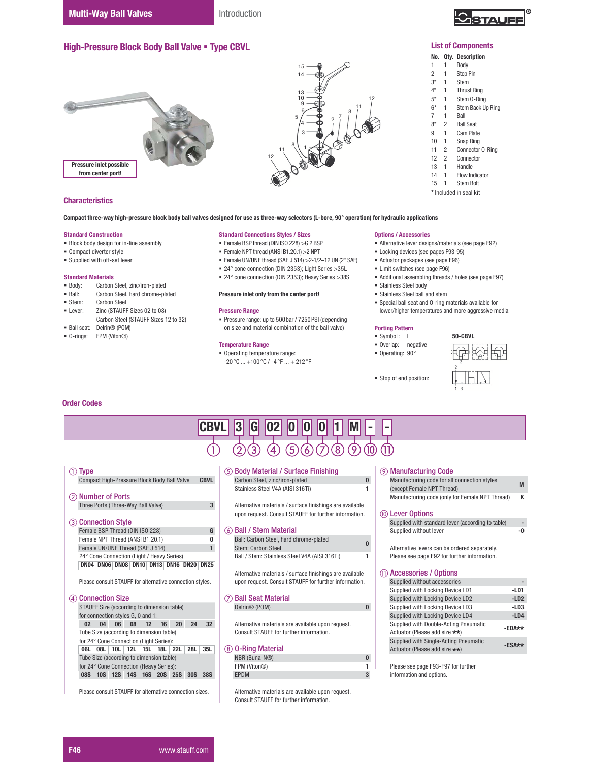Introduction



#### List of Components

# No. Qty. Description

- 1 1 Body<br>2 1 Stop
- $2 \t 1 \t Stop Pin\n3* \t 1 \t Stem$
- 1 Stem
- 4\* 1 Thrust Ring
- 5\* 1 Stem 0-Ring<br>6\* 1 Stem Back Up 1 Stem Back Up Ring
- 7 1 Ball
- 8<sup>\*</sup> 2 Ball Seat<br>9 1 Cam Plate
- 9 1 Cam Plate<br>10 1 Snap Ring 1 Snap Ring
- 
- 11 2 Connector 0-Ring<br>12 2 Connector **Connector**
- 13 1 Handle<br>14 1 Flow In
- Flow Indicator
- 15 1 Stem Bolt
- \* Included in seal kit

12  $11 \frac{8}{1}$  1 Pressure inlet possible from center port!

High-Pressure Block Body Ball Valve . Type CBVL

## **Characteristics**

Compact three-way high-pressure block body ball valves designed for use as three-way selectors (L-bore, 90° operation) for hydraulic applications

#### Standard Construction

- Block body design for in-line assembly
- Compact diverter style
- Supplied with off-set lever

# Standard Materials<br>• Body: Carbon

- Carbon Steel, zinc/iron-plated
- **Ball:** Carbon Steel, hard chrome-plated<br>
Stem: Carbon Steel
- Stem: Carbon Steel<br>I ever: 7inc (STAUFF
- Zinc (STAUFF Sizes 02 to 08)
- Carbon Steel (STAUFF Sizes 12 to 32) Ball seat: Delrin® (POM)
- O-rings: FPM (Viton®)

#### Standard Connections Styles / Sizes

- Female BSP thread (DIN ISO 228) >G 2 BSP
- $\blacksquare$  Female NPT thread (ANSI B1.20.1) > 2NPT
- $\blacksquare$  Female UN/UNF thread (SAE J 514) > 2-1/2-12 UN (2" SAE)
- 24° cone connection (DIN 2353); Light Series >35L

15 14

 $\begin{bmatrix} 2 & 7 & 8 \\ 2 & 7 & 7 \end{bmatrix}$ 

12

24° cone connection (DIN 2353); Heavy Series >38S

#### Pressure inlet only from the center port!

#### Pressure Range

 Pressure range: up to 500bar / 7250PSI (depending on size and material combination of the ball valve)

#### Temperature Range

 Operating temperature range:  $-20^{\circ}$ C ...  $+100^{\circ}$ C /  $-4^{\circ}$ F ...  $+212^{\circ}$ F

#### Options / Accessories

- Alternative lever designs/materials (see page F92)
- **Locking devices (see pages F93-95)**
- Actuator packages (see page F96)
- Limit switches (see page F96)
- Additional assembling threads / holes (see page F97)
- Stainless Steel body
- Stainless Steel ball and stem
- Special ball seat and O-ring materials available for lower/higher temperatures and more aggressive media

# Porting Pattern

- Symbol : L
- Overlap: negative
- Operating: 90°
- 



#### Order Codes

| CBVL                                                                                                                                                                                                                                                                             | 3<br>G<br><b>U2</b>                                                                                                                       |                                                                                                                                                       |  |  |  |  |  |  |
|----------------------------------------------------------------------------------------------------------------------------------------------------------------------------------------------------------------------------------------------------------------------------------|-------------------------------------------------------------------------------------------------------------------------------------------|-------------------------------------------------------------------------------------------------------------------------------------------------------|--|--|--|--|--|--|
|                                                                                                                                                                                                                                                                                  | $\left[ 8\right]$<br>[5]<br>6                                                                                                             |                                                                                                                                                       |  |  |  |  |  |  |
| $\circled{1}$ Type                                                                                                                                                                                                                                                               | (5) Body Material / Surface Finishing                                                                                                     | <b>9 Manufacturing Code</b>                                                                                                                           |  |  |  |  |  |  |
| Compact High-Pressure Block Body Ball Valve<br><b>CBVL</b>                                                                                                                                                                                                                       | $\bf{0}$<br>Carbon Steel, zinc/iron-plated                                                                                                | Manufacturing code for all connection styles<br>M                                                                                                     |  |  |  |  |  |  |
| (2) Number of Ports                                                                                                                                                                                                                                                              | Stainless Steel V4A (AISI 316Ti)                                                                                                          | (except Female NPT Thread)<br>K<br>Manufacturing code (only for Female NPT Thread)                                                                    |  |  |  |  |  |  |
| Three Ports (Three-Way Ball Valve)<br>3                                                                                                                                                                                                                                          | Alternative materials / surface finishings are available                                                                                  |                                                                                                                                                       |  |  |  |  |  |  |
|                                                                                                                                                                                                                                                                                  | upon request. Consult STAUFF for further information.                                                                                     | (10) Lever Options                                                                                                                                    |  |  |  |  |  |  |
| <b>Connection Style</b><br>(3)                                                                                                                                                                                                                                                   |                                                                                                                                           | Supplied with standard lever (according to table)                                                                                                     |  |  |  |  |  |  |
| Female BSP Thread (DIN ISO 228)<br>G                                                                                                                                                                                                                                             | 6 Ball / Stem Material                                                                                                                    | Supplied without lever<br>-0                                                                                                                          |  |  |  |  |  |  |
| Female NPT Thread (ANSI B1.20.1)<br>0                                                                                                                                                                                                                                            | Ball: Carbon Steel, hard chrome-plated                                                                                                    |                                                                                                                                                       |  |  |  |  |  |  |
| Female UN/UNF Thread (SAE J 514)<br>$\mathbf{1}$                                                                                                                                                                                                                                 | Stem: Carbon Steel                                                                                                                        | Alternative levers can be ordered separately.                                                                                                         |  |  |  |  |  |  |
| 24° Cone Connection (Light / Heavy Series)<br>DN04 DN06 DN08 DN10 DN13 DN16 DN20 DN25                                                                                                                                                                                            | Ball / Stem: Stainless Steel V4A (AISI 316Ti)                                                                                             | Please see page F92 for further information.                                                                                                          |  |  |  |  |  |  |
|                                                                                                                                                                                                                                                                                  | Alternative materials / surface finishings are available                                                                                  | <b>Accessories / Options</b>                                                                                                                          |  |  |  |  |  |  |
| Please consult STAUFF for alternative connection styles.                                                                                                                                                                                                                         | upon request. Consult STAUFF for further information.                                                                                     | Supplied without accessories                                                                                                                          |  |  |  |  |  |  |
|                                                                                                                                                                                                                                                                                  |                                                                                                                                           | Supplied with Locking Device LD1<br>$-LD1$                                                                                                            |  |  |  |  |  |  |
| <b>Connection Size</b><br>(4)                                                                                                                                                                                                                                                    | <b>Ball Seat Material</b>                                                                                                                 | Supplied with Locking Device LD2<br>$-LD2$                                                                                                            |  |  |  |  |  |  |
| STAUFF Size (according to dimension table)                                                                                                                                                                                                                                       | Delrin <sup>®</sup> (POM)<br>$\bf{0}$                                                                                                     | Supplied with Locking Device LD3<br>$-LD3$                                                                                                            |  |  |  |  |  |  |
| for connection styles G, 0 and 1:                                                                                                                                                                                                                                                |                                                                                                                                           | Supplied with Locking Device LD4<br>$-LD4$                                                                                                            |  |  |  |  |  |  |
| 04 06 08 12<br>20<br>24<br>02 <sub>2</sub><br>16<br>32 <sub>2</sub>                                                                                                                                                                                                              | Alternative materials are available upon request.                                                                                         | Supplied with Double-Acting Pneumatic                                                                                                                 |  |  |  |  |  |  |
| Tube Size (according to dimension table)                                                                                                                                                                                                                                         | Consult STAUFF for further information.                                                                                                   | Actuator (Please add size **)                                                                                                                         |  |  |  |  |  |  |
|                                                                                                                                                                                                                                                                                  |                                                                                                                                           | $-ESAx*$                                                                                                                                              |  |  |  |  |  |  |
|                                                                                                                                                                                                                                                                                  |                                                                                                                                           |                                                                                                                                                       |  |  |  |  |  |  |
|                                                                                                                                                                                                                                                                                  |                                                                                                                                           |                                                                                                                                                       |  |  |  |  |  |  |
|                                                                                                                                                                                                                                                                                  |                                                                                                                                           |                                                                                                                                                       |  |  |  |  |  |  |
|                                                                                                                                                                                                                                                                                  |                                                                                                                                           |                                                                                                                                                       |  |  |  |  |  |  |
|                                                                                                                                                                                                                                                                                  |                                                                                                                                           |                                                                                                                                                       |  |  |  |  |  |  |
|                                                                                                                                                                                                                                                                                  | Consult STAUFF for further information.                                                                                                   |                                                                                                                                                       |  |  |  |  |  |  |
| for 24° Cone Connection (Light Series):<br>28L<br>35L<br>06L 08L 10L 12L 15L 18L 22L<br>Tube Size (according to dimension table)<br>for 24° Cone Connection (Heavy Series):<br>08S 10S 12S 14S 16S 20S 25S 30S<br>38S<br>Please consult STAUFF for alternative connection sizes. | (8) 0-Ring Material<br>NBR (Buna-N®)<br>$\bf{0}$<br>FPM (Viton®)<br><b>EPDM</b><br>3<br>Alternative materials are available upon request. | $-EDA**$<br>Supplied with Single-Acting Pneumatic<br>Actuator (Please add size **)<br>Please see page F93-F97 for further<br>information and options. |  |  |  |  |  |  |

### F46 **ZZZYWDX** WWW.stauff.com

- - Stop of end position: